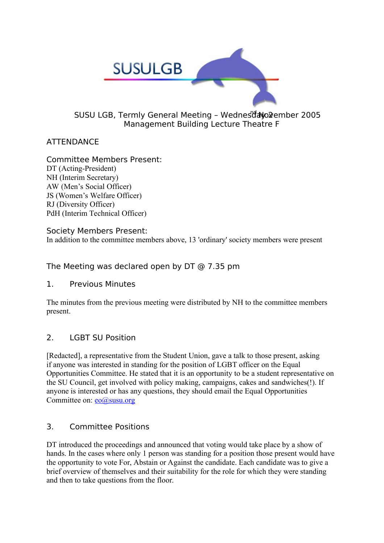

#### SUSU LGB, Termly General Meeting - Wednesdavolember 2005 Management Building Lecture Theatre F

# ATTENDANCE

Committee Members Present: DT (Acting-President) NH (Interim Secretary) AW (Men's Social Officer) JS (Women's Welfare Officer) RJ (Diversity Officer) PdH (Interim Technical Officer)

Society Members Present: In addition to the committee members above, 13 'ordinary' society members were present

The Meeting was declared open by DT @ 7.35 pm

1. Previous Minutes

The minutes from the previous meeting were distributed by NH to the committee members present.

### 2. LGBT SU Position

[Redacted], a representative from the Student Union, gave a talk to those present, asking if anyone was interested in standing for the position of LGBT officer on the Equal Opportunities Committee. He stated that it is an opportunity to be a student representative on the SU Council, get involved with policy making, campaigns, cakes and sandwiches(!). If anyone is interested or has any questions, they should email the Equal Opportunities Committee on: eo@susu.org

### 3. Committee Positions

DT introduced the proceedings and announced that voting would take place by a show of hands. In the cases where only 1 person was standing for a position those present would have the opportunity to vote For, Abstain or Against the candidate. Each candidate was to give a brief overview of themselves and their suitability for the role for which they were standing and then to take questions from the floor.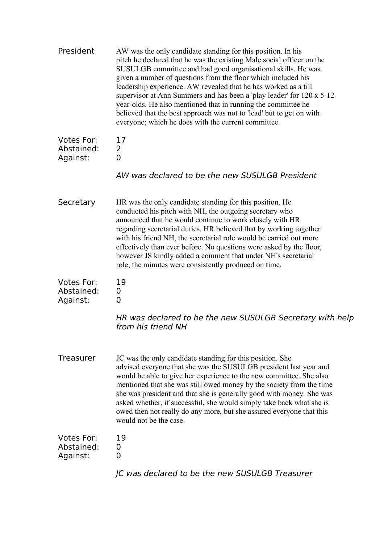| President                            | AW was the only candidate standing for this position. In his<br>pitch he declared that he was the existing Male social officer on the<br>SUSULGB committee and had good organisational skills. He was<br>given a number of questions from the floor which included his<br>leadership experience. AW revealed that he has worked as a till<br>supervisor at Ann Summers and has been a 'play leader' for 120 x 5-12<br>year-olds. He also mentioned that in running the committee he<br>believed that the best approach was not to 'lead' but to get on with<br>everyone; which he does with the current committee. |
|--------------------------------------|--------------------------------------------------------------------------------------------------------------------------------------------------------------------------------------------------------------------------------------------------------------------------------------------------------------------------------------------------------------------------------------------------------------------------------------------------------------------------------------------------------------------------------------------------------------------------------------------------------------------|
| Votes For:<br>Abstained:<br>Against: | 17<br>$\overline{2}$<br>0                                                                                                                                                                                                                                                                                                                                                                                                                                                                                                                                                                                          |
|                                      | AW was declared to be the new SUSULGB President                                                                                                                                                                                                                                                                                                                                                                                                                                                                                                                                                                    |
| Secretary                            | HR was the only candidate standing for this position. He<br>conducted his pitch with NH, the outgoing secretary who<br>announced that he would continue to work closely with HR<br>regarding secretarial duties. HR believed that by working together<br>with his friend NH, the secretarial role would be carried out more<br>effectively than ever before. No questions were asked by the floor,<br>however JS kindly added a comment that under NH's secretarial<br>role, the minutes were consistently produced on time.                                                                                       |
| Votes For:<br>Abstained:<br>Against: | 19<br>0<br>0                                                                                                                                                                                                                                                                                                                                                                                                                                                                                                                                                                                                       |
|                                      | HR was declared to be the new SUSULGB Secretary with help<br>from his friend NH                                                                                                                                                                                                                                                                                                                                                                                                                                                                                                                                    |
| <b>Treasurer</b>                     | JC was the only candidate standing for this position. She<br>advised everyone that she was the SUSULGB president last year and<br>would be able to give her experience to the new committee. She also<br>mentioned that she was still owed money by the society from the time<br>she was president and that she is generally good with money. She was<br>asked whether, if successful, she would simply take back what she is<br>owed then not really do any more, but she assured everyone that this<br>would not be the case.                                                                                    |
| Votes For:<br>Abstained:<br>Against: | 19<br>0<br>0                                                                                                                                                                                                                                                                                                                                                                                                                                                                                                                                                                                                       |
|                                      | JC was declared to be the new SUSULGB Treasurer                                                                                                                                                                                                                                                                                                                                                                                                                                                                                                                                                                    |